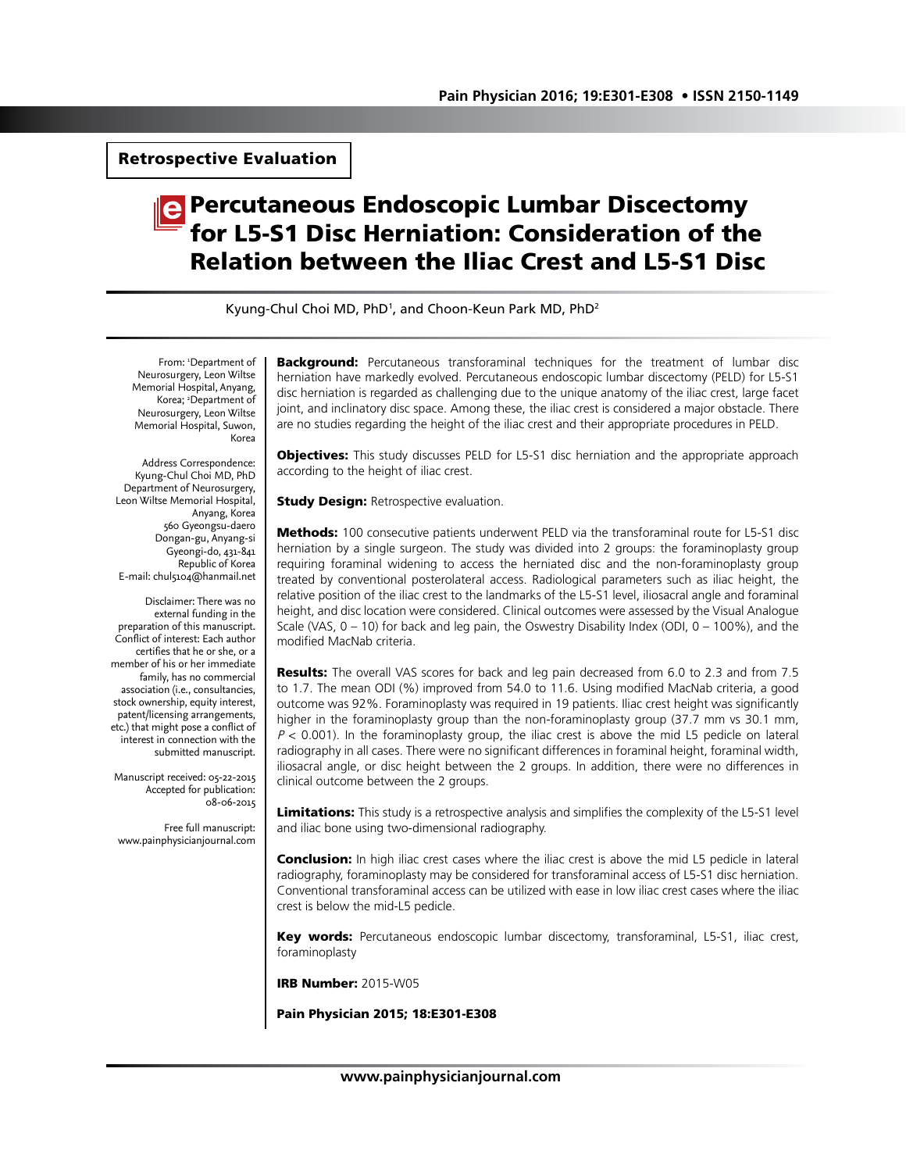Retrospective Evaluation

# Percutaneous Endoscopic Lumbar Discectomy for L5-S1 Disc Herniation: Consideration of the Relation between the Iliac Crest and L5-S1 Disc

Kyung-Chul Choi MD, PhD<sup>1</sup>, and Choon-Keun Park MD, PhD<sup>2</sup>

From: 'Department of Neurosurgery, Leon Wiltse Memorial Hospital, Anyang, Korea; <sup>2</sup>Department of Neurosurgery, Leon Wiltse Memorial Hospital, Suwon, Korea

Address Correspondence: Kyung-Chul Choi MD, PhD Department of Neurosurgery, Leon Wiltse Memorial Hospital, Anyang, Korea 560 Gyeongsu-daero Dongan-gu, Anyang-si Gyeongi-do, 431-841 Republic of Korea E-mail: chul5104@hanmail.net

Disclaimer: There was no external funding in the preparation of this manuscript. Conflict of interest: Each author certifies that he or she, or a member of his or her immediate family, has no commercial association (i.e., consultancies, stock ownership, equity interest, patent/licensing arrangements, etc.) that might pose a conflict of interest in connection with the submitted manuscript.

Manuscript received: 05-22-2015 Accepted for publication: 08-06-2015

Free full manuscript: www.painphysicianjournal.com **Background:** Percutaneous transforaminal techniques for the treatment of lumbar disc herniation have markedly evolved. Percutaneous endoscopic lumbar discectomy (PELD) for L5-S1 disc herniation is regarded as challenging due to the unique anatomy of the iliac crest, large facet joint, and inclinatory disc space. Among these, the iliac crest is considered a major obstacle. There are no studies regarding the height of the iliac crest and their appropriate procedures in PELD.

**Objectives:** This study discusses PELD for L5-S1 disc herniation and the appropriate approach according to the height of iliac crest.

**Study Design: Retrospective evaluation.** 

**Methods:** 100 consecutive patients underwent PELD via the transforaminal route for L5-S1 disc herniation by a single surgeon. The study was divided into 2 groups: the foraminoplasty group requiring foraminal widening to access the herniated disc and the non-foraminoplasty group treated by conventional posterolateral access. Radiological parameters such as iliac height, the relative position of the iliac crest to the landmarks of the L5-S1 level, iliosacral angle and foraminal height, and disc location were considered. Clinical outcomes were assessed by the Visual Analogue Scale (VAS,  $0 - 10$ ) for back and leg pain, the Oswestry Disability Index (ODI,  $0 - 100\%$ ), and the modified MacNab criteria.

**Results:** The overall VAS scores for back and leg pain decreased from 6.0 to 2.3 and from 7.5 to 1.7. The mean ODI (%) improved from 54.0 to 11.6. Using modified MacNab criteria, a good outcome was 92%. Foraminoplasty was required in 19 patients. Iliac crest height was significantly higher in the foraminoplasty group than the non-foraminoplasty group (37.7 mm vs 30.1 mm,  $P < 0.001$ ). In the foraminoplasty group, the iliac crest is above the mid L5 pedicle on lateral radiography in all cases. There were no significant differences in foraminal height, foraminal width, iliosacral angle, or disc height between the 2 groups. In addition, there were no differences in clinical outcome between the 2 groups.

Limitations: This study is a retrospective analysis and simplifies the complexity of the L5-S1 level and iliac bone using two-dimensional radiography.

**Conclusion:** In high iliac crest cases where the iliac crest is above the mid L5 pedicle in lateral radiography, foraminoplasty may be considered for transforaminal access of L5-S1 disc herniation. Conventional transforaminal access can be utilized with ease in low iliac crest cases where the iliac crest is below the mid-L5 pedicle.

Key words: Percutaneous endoscopic lumbar discectomy, transforaminal, L5-S1, iliac crest, foraminoplasty

IRB Number: 2015-W05

Pain Physician 2015; 18:E301-E308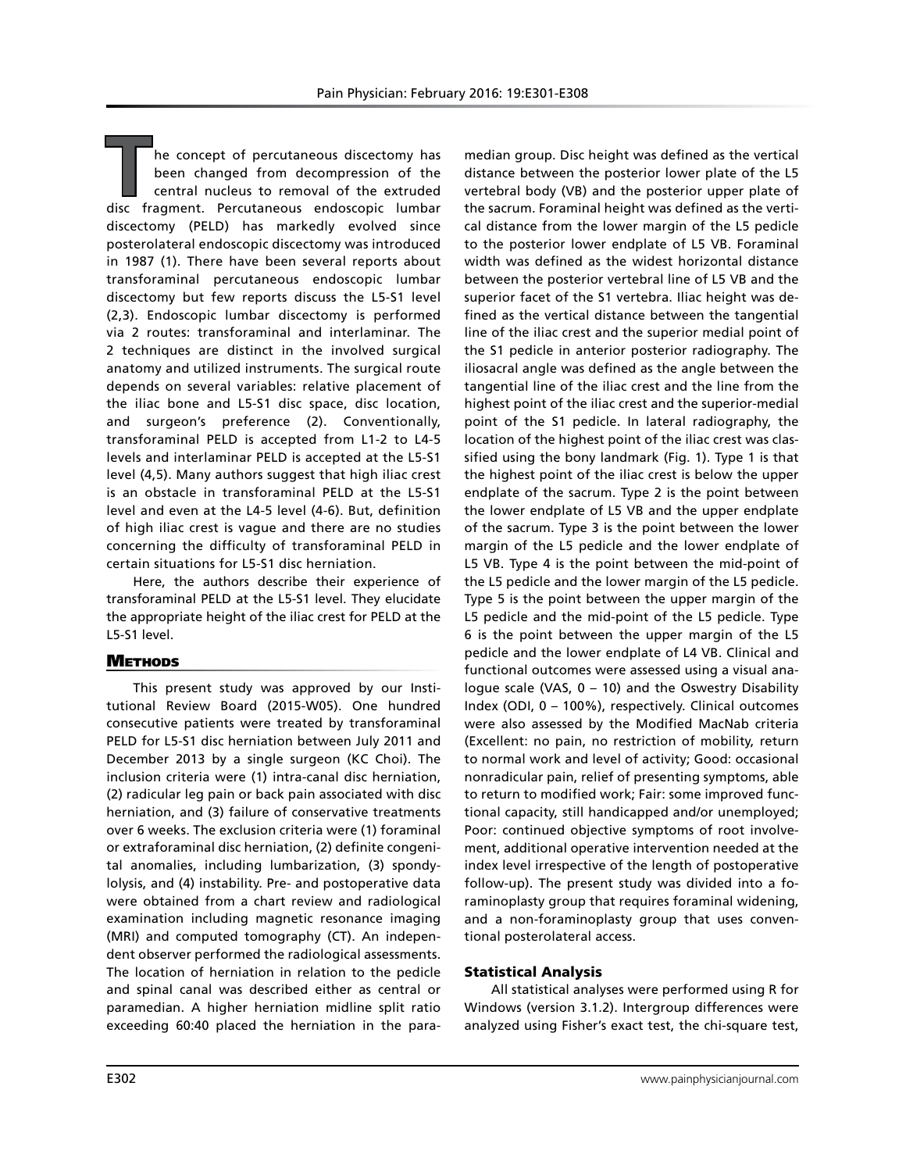**T**he concept of percutaneous discectomy has been changed from decompression of the central nucleus to removal of the extruded disc fragment. Percutaneous endoscopic lumbar discectomy (PELD) has markedly evolved since posterolateral endoscopic discectomy was introduced in 1987 (1). There have been several reports about transforaminal percutaneous endoscopic lumbar discectomy but few reports discuss the L5-S1 level (2,3). Endoscopic lumbar discectomy is performed via 2 routes: transforaminal and interlaminar. The 2 techniques are distinct in the involved surgical anatomy and utilized instruments. The surgical route depends on several variables: relative placement of the iliac bone and L5-S1 disc space, disc location, and surgeon's preference (2). Conventionally, transforaminal PELD is accepted from L1-2 to L4-5 levels and interlaminar PELD is accepted at the L5-S1 level (4,5). Many authors suggest that high iliac crest is an obstacle in transforaminal PELD at the L5-S1 level and even at the L4-5 level (4-6). But, definition of high iliac crest is vague and there are no studies concerning the difficulty of transforaminal PELD in certain situations for L5-S1 disc herniation.

Here, the authors describe their experience of transforaminal PELD at the L5-S1 level. They elucidate the appropriate height of the iliac crest for PELD at the L5-S1 level.

#### **METHODS**

This present study was approved by our Institutional Review Board (2015-W05). One hundred consecutive patients were treated by transforaminal PELD for L5-S1 disc herniation between July 2011 and December 2013 by a single surgeon (KC Choi). The inclusion criteria were (1) intra-canal disc herniation, (2) radicular leg pain or back pain associated with disc herniation, and (3) failure of conservative treatments over 6 weeks. The exclusion criteria were (1) foraminal or extraforaminal disc herniation, (2) definite congenital anomalies, including lumbarization, (3) spondylolysis, and (4) instability. Pre- and postoperative data were obtained from a chart review and radiological examination including magnetic resonance imaging (MRI) and computed tomography (CT). An independent observer performed the radiological assessments. The location of herniation in relation to the pedicle and spinal canal was described either as central or paramedian. A higher herniation midline split ratio exceeding 60:40 placed the herniation in the para-

median group. Disc height was defined as the vertical distance between the posterior lower plate of the L5 vertebral body (VB) and the posterior upper plate of the sacrum. Foraminal height was defined as the vertical distance from the lower margin of the L5 pedicle to the posterior lower endplate of L5 VB. Foraminal width was defined as the widest horizontal distance between the posterior vertebral line of L5 VB and the superior facet of the S1 vertebra. Iliac height was defined as the vertical distance between the tangential line of the iliac crest and the superior medial point of the S1 pedicle in anterior posterior radiography. The iliosacral angle was defined as the angle between the tangential line of the iliac crest and the line from the highest point of the iliac crest and the superior-medial point of the S1 pedicle. In lateral radiography, the location of the highest point of the iliac crest was classified using the bony landmark (Fig. 1). Type 1 is that the highest point of the iliac crest is below the upper endplate of the sacrum. Type 2 is the point between the lower endplate of L5 VB and the upper endplate of the sacrum. Type 3 is the point between the lower margin of the L5 pedicle and the lower endplate of L5 VB. Type 4 is the point between the mid-point of the L5 pedicle and the lower margin of the L5 pedicle. Type 5 is the point between the upper margin of the L5 pedicle and the mid-point of the L5 pedicle. Type 6 is the point between the upper margin of the L5 pedicle and the lower endplate of L4 VB. Clinical and functional outcomes were assessed using a visual analogue scale (VAS, 0 – 10) and the Oswestry Disability Index (ODI, 0 – 100%), respectively. Clinical outcomes were also assessed by the Modified MacNab criteria (Excellent: no pain, no restriction of mobility, return to normal work and level of activity; Good: occasional nonradicular pain, relief of presenting symptoms, able to return to modified work; Fair: some improved functional capacity, still handicapped and/or unemployed; Poor: continued objective symptoms of root involvement, additional operative intervention needed at the index level irrespective of the length of postoperative follow-up). The present study was divided into a foraminoplasty group that requires foraminal widening, and a non-foraminoplasty group that uses conventional posterolateral access.

#### Statistical Analysis

All statistical analyses were performed using R for Windows (version 3.1.2). Intergroup differences were analyzed using Fisher's exact test, the chi-square test,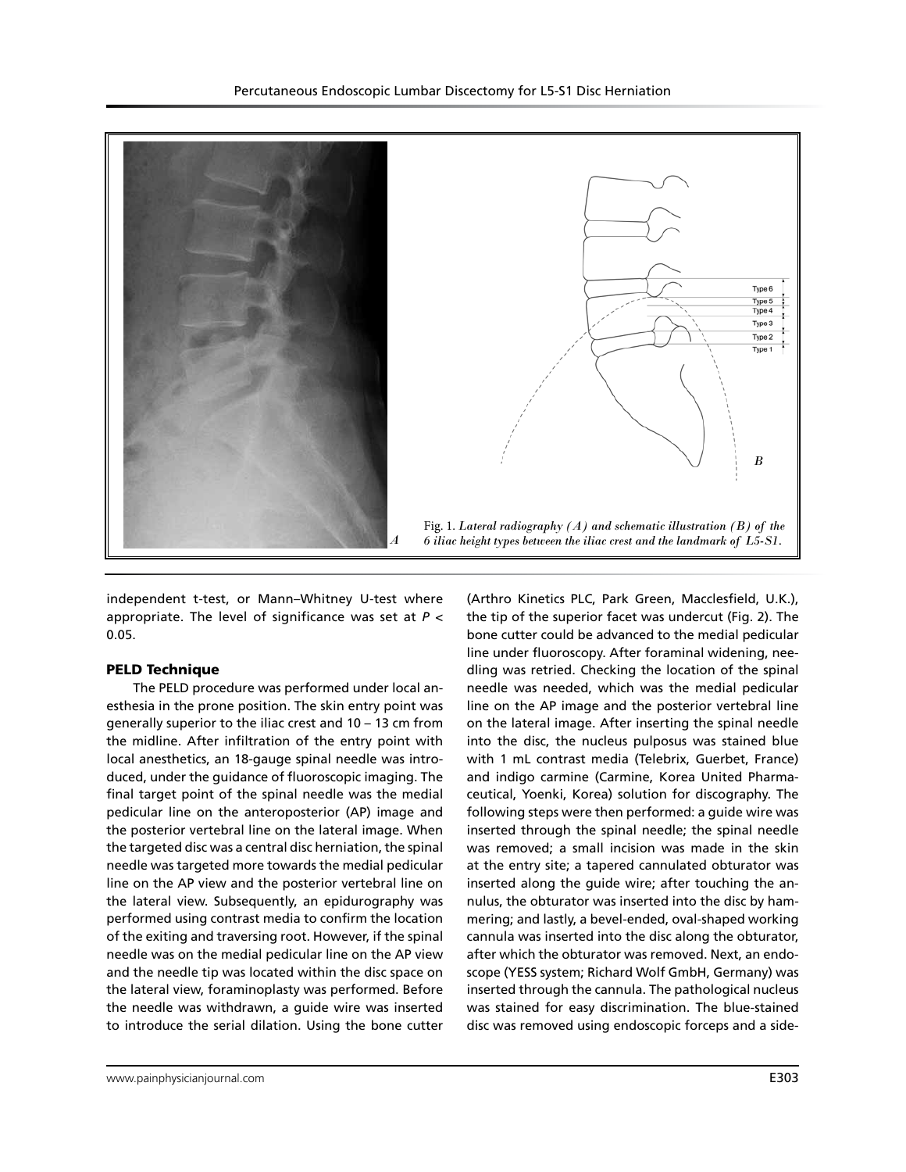

independent t-test, or Mann–Whitney U-test where appropriate. The level of significance was set at *P* < 0.05.

#### PELD Technique

The PELD procedure was performed under local anesthesia in the prone position. The skin entry point was generally superior to the iliac crest and 10 – 13 cm from the midline. After infiltration of the entry point with local anesthetics, an 18-gauge spinal needle was introduced, under the guidance of fluoroscopic imaging. The final target point of the spinal needle was the medial pedicular line on the anteroposterior (AP) image and the posterior vertebral line on the lateral image. When the targeted disc was a central disc herniation, the spinal needle was targeted more towards the medial pedicular line on the AP view and the posterior vertebral line on the lateral view. Subsequently, an epidurography was performed using contrast media to confirm the location of the exiting and traversing root. However, if the spinal needle was on the medial pedicular line on the AP view and the needle tip was located within the disc space on the lateral view, foraminoplasty was performed. Before the needle was withdrawn, a guide wire was inserted to introduce the serial dilation. Using the bone cutter

(Arthro Kinetics PLC, Park Green, Macclesfield, U.K.), the tip of the superior facet was undercut (Fig. 2). The bone cutter could be advanced to the medial pedicular line under fluoroscopy. After foraminal widening, needling was retried. Checking the location of the spinal needle was needed, which was the medial pedicular line on the AP image and the posterior vertebral line on the lateral image. After inserting the spinal needle into the disc, the nucleus pulposus was stained blue with 1 mL contrast media (Telebrix, Guerbet, France) and indigo carmine (Carmine, Korea United Pharmaceutical, Yoenki, Korea) solution for discography. The following steps were then performed: a guide wire was inserted through the spinal needle; the spinal needle was removed; a small incision was made in the skin at the entry site; a tapered cannulated obturator was inserted along the guide wire; after touching the annulus, the obturator was inserted into the disc by hammering; and lastly, a bevel-ended, oval-shaped working cannula was inserted into the disc along the obturator, after which the obturator was removed. Next, an endoscope (YESS system; Richard Wolf GmbH, Germany) was inserted through the cannula. The pathological nucleus was stained for easy discrimination. The blue-stained disc was removed using endoscopic forceps and a side-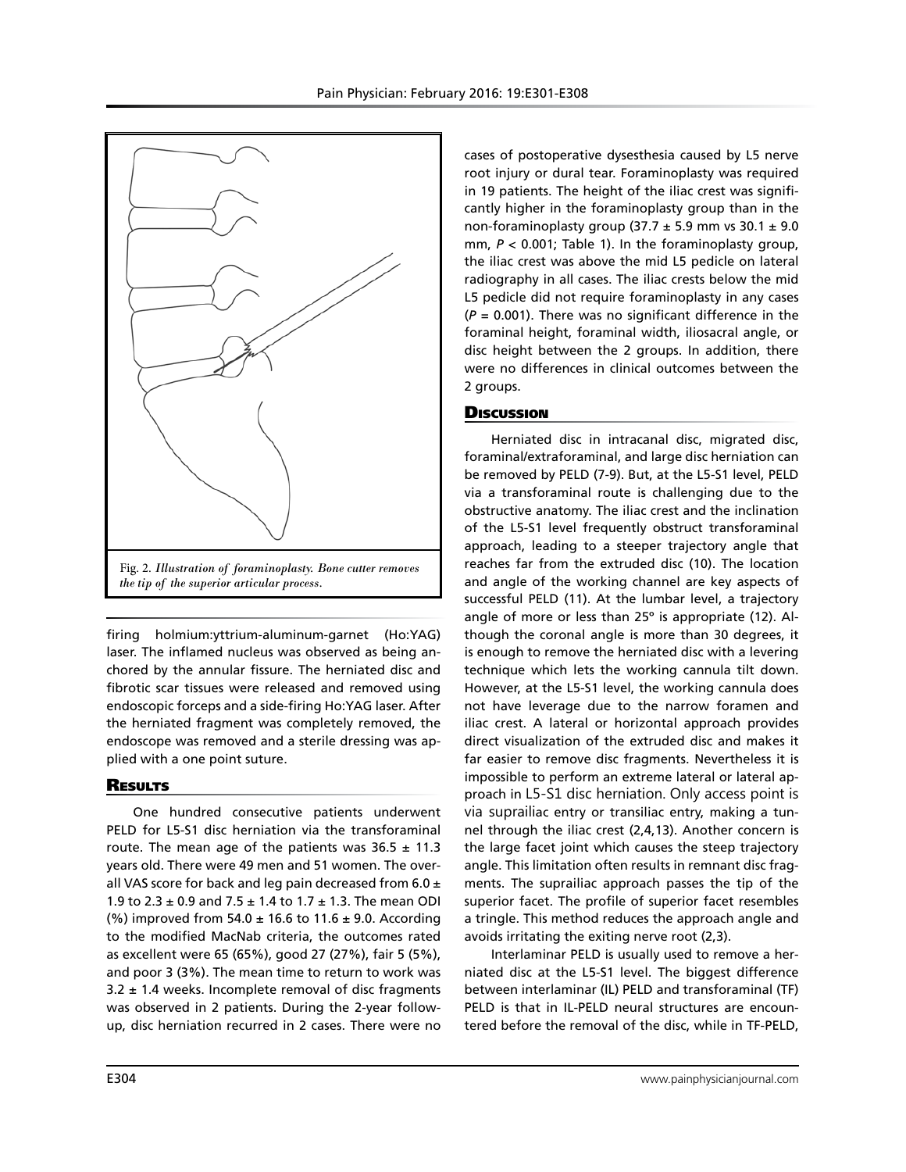

firing holmium:yttrium-aluminum-garnet (Ho:YAG) laser. The inflamed nucleus was observed as being anchored by the annular fissure. The herniated disc and fibrotic scar tissues were released and removed using endoscopic forceps and a side-firing Ho:YAG laser. After the herniated fragment was completely removed, the endoscope was removed and a sterile dressing was applied with a one point suture.

#### **RESULTS**

One hundred consecutive patients underwent PELD for L5-S1 disc herniation via the transforaminal route. The mean age of the patients was  $36.5 \pm 11.3$ years old. There were 49 men and 51 women. The overall VAS score for back and leg pain decreased from 6.0  $\pm$ 1.9 to 2.3  $\pm$  0.9 and 7.5  $\pm$  1.4 to 1.7  $\pm$  1.3. The mean ODI (%) improved from  $54.0 \pm 16.6$  to  $11.6 \pm 9.0$ . According to the modified MacNab criteria, the outcomes rated as excellent were 65 (65%), good 27 (27%), fair 5 (5%), and poor 3 (3%). The mean time to return to work was  $3.2 \pm 1.4$  weeks. Incomplete removal of disc fragments was observed in 2 patients. During the 2-year followup, disc herniation recurred in 2 cases. There were no

cases of postoperative dysesthesia caused by L5 nerve root injury or dural tear. Foraminoplasty was required in 19 patients. The height of the iliac crest was significantly higher in the foraminoplasty group than in the non-foraminoplasty group (37.7  $\pm$  5.9 mm vs 30.1  $\pm$  9.0 mm, *P* < 0.001; Table 1). In the foraminoplasty group, the iliac crest was above the mid L5 pedicle on lateral radiography in all cases. The iliac crests below the mid L5 pedicle did not require foraminoplasty in any cases (*P* = 0.001). There was no significant difference in the foraminal height, foraminal width, iliosacral angle, or disc height between the 2 groups. In addition, there were no differences in clinical outcomes between the 2 groups.

### **Discussion**

Herniated disc in intracanal disc, migrated disc, foraminal/extraforaminal, and large disc herniation can be removed by PELD (7-9). But, at the L5-S1 level, PELD via a transforaminal route is challenging due to the obstructive anatomy. The iliac crest and the inclination of the L5-S1 level frequently obstruct transforaminal approach, leading to a steeper trajectory angle that reaches far from the extruded disc (10). The location and angle of the working channel are key aspects of successful PELD (11). At the lumbar level, a trajectory angle of more or less than 25º is appropriate (12). Although the coronal angle is more than 30 degrees, it is enough to remove the herniated disc with a levering technique which lets the working cannula tilt down. However, at the L5-S1 level, the working cannula does not have leverage due to the narrow foramen and iliac crest. A lateral or horizontal approach provides direct visualization of the extruded disc and makes it far easier to remove disc fragments. Nevertheless it is impossible to perform an extreme lateral or lateral approach in L5-S1 disc herniation. Only access point is via suprailiac entry or transiliac entry, making a tunnel through the iliac crest (2,4,13). Another concern is the large facet joint which causes the steep trajectory angle. This limitation often results in remnant disc fragments. The suprailiac approach passes the tip of the superior facet. The profile of superior facet resembles a tringle. This method reduces the approach angle and avoids irritating the exiting nerve root (2,3).

Interlaminar PELD is usually used to remove a herniated disc at the L5-S1 level. The biggest difference between interlaminar (IL) PELD and transforaminal (TF) PELD is that in IL-PELD neural structures are encountered before the removal of the disc, while in TF-PELD,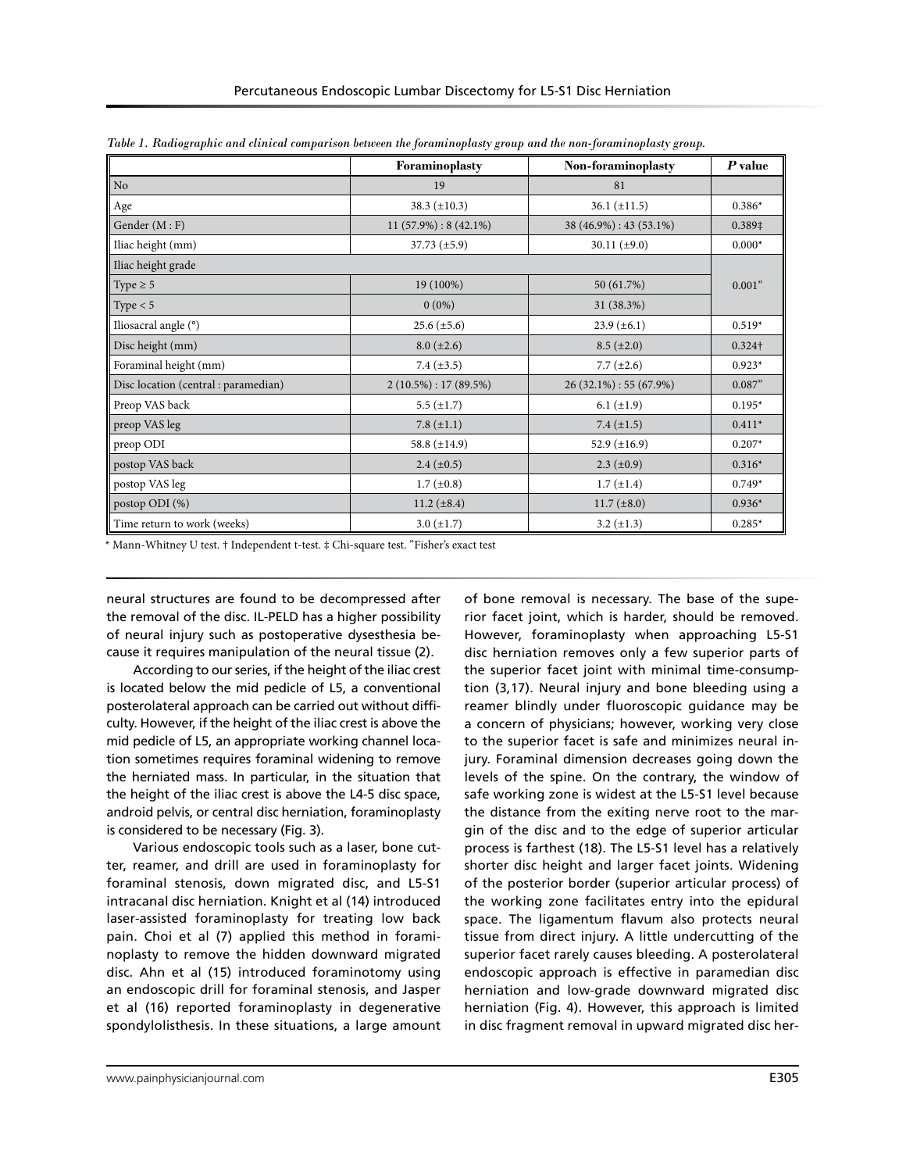|                                     | Foraminoplasty           | Non-foraminoplasty      | $P$ value |
|-------------------------------------|--------------------------|-------------------------|-----------|
| No.                                 | 19                       | 81                      |           |
| Age                                 | 38.3 $(\pm 10.3)$        | $36.1 (\pm 11.5)$       | $0.386*$  |
| Gender $(M : F)$                    | $11(57.9\%): 8(42.1\%)$  | 38 (46.9%) : 43 (53.1%) | 0.389‡    |
| Iliac height (mm)                   | $37.73 \ (\pm 5.9)$      | 30.11 $(\pm 9.0)$       | $0.000*$  |
| Iliac height grade                  |                          |                         |           |
| Type $\geq 5$                       | 19 (100%)                | 50 (61.7%)              | 0.001"    |
| Type $< 5$                          | $0(0\%)$                 | 31 (38.3%)              |           |
| Iliosacral angle (°)                | $25.6 (\pm 5.6)$         | $23.9 \ (\pm 6.1)$      | $0.519*$  |
| Disc height (mm)                    | $8.0 (\pm 2.6)$          | $8.5 (\pm 2.0)$         | 0.324†    |
| Foraminal height (mm)               | 7.4 $(\pm 3.5)$          | 7.7 $(\pm 2.6)$         | $0.923*$  |
| Disc location (central: paramedian) | $2(10.5\%) : 17(89.5\%)$ | $26(32.1\%):55(67.9\%)$ | 0.087"    |
| Preop VAS back                      | 5.5 $(\pm 1.7)$          | $6.1 (\pm 1.9)$         | $0.195*$  |
| preop VAS leg                       | 7.8 $(\pm 1.1)$          | 7.4 $(\pm 1.5)$         | $0.411*$  |
| preop ODI                           | 58.8 $(\pm 14.9)$        | 52.9 $(\pm 16.9)$       | $0.207*$  |
| postop VAS back                     | $2.4 (\pm 0.5)$          | $2.3 \ (\pm 0.9)$       | $0.316*$  |
| postop VAS leg                      | $1.7 (\pm 0.8)$          | $1.7 (\pm 1.4)$         | $0.749*$  |
| postop ODI (%)                      | 11.2 $(\pm 8.4)$         | $11.7 (\pm 8.0)$        | $0.936*$  |
| Time return to work (weeks)         | $3.0 (\pm 1.7)$          | $3.2 (\pm 1.3)$         | $0.285*$  |

*Table 1. Radiographic and clinical comparison between the foraminoplasty group and the non-foraminoplasty group.*

\* Mann-Whitney U test. † Independent t-test. ‡ Chi-square test. "Fisher's exact test

neural structures are found to be decompressed after the removal of the disc. IL-PELD has a higher possibility of neural injury such as postoperative dysesthesia because it requires manipulation of the neural tissue (2).

According to our series, if the height of the iliac crest is located below the mid pedicle of L5, a conventional posterolateral approach can be carried out without difficulty. However, if the height of the iliac crest is above the mid pedicle of L5, an appropriate working channel location sometimes requires foraminal widening to remove the herniated mass. In particular, in the situation that the height of the iliac crest is above the L4-5 disc space, android pelvis, or central disc herniation, foraminoplasty is considered to be necessary (Fig. 3).

Various endoscopic tools such as a laser, bone cutter, reamer, and drill are used in foraminoplasty for foraminal stenosis, down migrated disc, and L5-S1 intracanal disc herniation. Knight et al (14) introduced laser-assisted foraminoplasty for treating low back pain. Choi et al (7) applied this method in foraminoplasty to remove the hidden downward migrated disc. Ahn et al (15) introduced foraminotomy using an endoscopic drill for foraminal stenosis, and Jasper et al (16) reported foraminoplasty in degenerative spondylolisthesis. In these situations, a large amount

of bone removal is necessary. The base of the superior facet joint, which is harder, should be removed. However, foraminoplasty when approaching L5-S1 disc herniation removes only a few superior parts of the superior facet joint with minimal time-consumption (3,17). Neural injury and bone bleeding using a reamer blindly under fluoroscopic guidance may be a concern of physicians; however, working very close to the superior facet is safe and minimizes neural injury. Foraminal dimension decreases going down the levels of the spine. On the contrary, the window of safe working zone is widest at the L5-S1 level because the distance from the exiting nerve root to the margin of the disc and to the edge of superior articular process is farthest (18). The L5-S1 level has a relatively shorter disc height and larger facet joints. Widening of the posterior border (superior articular process) of the working zone facilitates entry into the epidural space. The ligamentum flavum also protects neural tissue from direct injury. A little undercutting of the superior facet rarely causes bleeding. A posterolateral endoscopic approach is effective in paramedian disc herniation and low-grade downward migrated disc herniation (Fig. 4). However, this approach is limited in disc fragment removal in upward migrated disc her-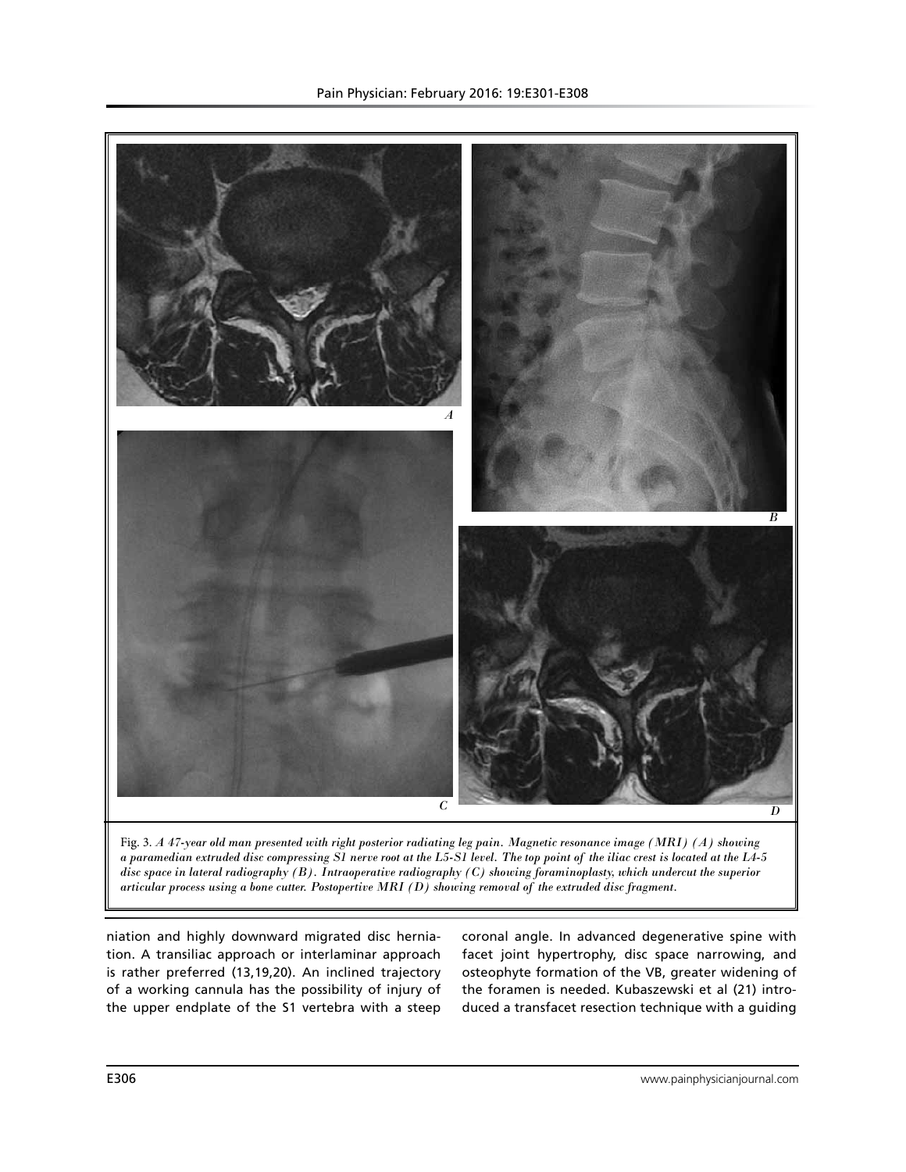

*a paramedian extruded disc compressing S1 nerve root at the L5-S1 level. The top point of the iliac crest is located at the L4-5 disc space in lateral radiography (B). Intraoperative radiography (C) showing foraminoplasty, which undercut the superior articular process using a bone cutter. Postopertive MRI (D) showing removal of the extruded disc fragment.* 

niation and highly downward migrated disc herniation. A transiliac approach or interlaminar approach is rather preferred (13,19,20). An inclined trajectory of a working cannula has the possibility of injury of the upper endplate of the S1 vertebra with a steep

coronal angle. In advanced degenerative spine with facet joint hypertrophy, disc space narrowing, and osteophyte formation of the VB, greater widening of the foramen is needed. Kubaszewski et al (21) introduced a transfacet resection technique with a guiding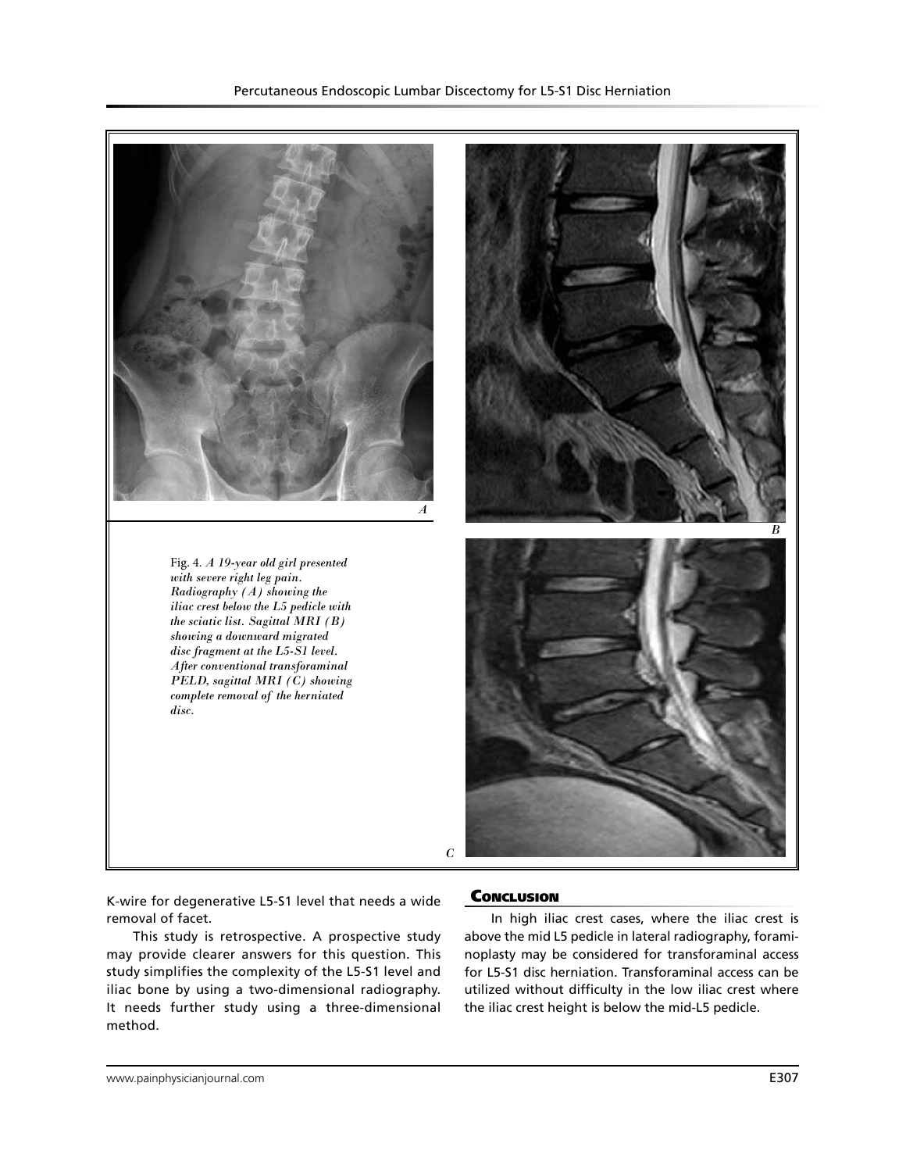

K-wire for degenerative L5-S1 level that needs a wide removal of facet.

This study is retrospective. A prospective study may provide clearer answers for this question. This study simplifies the complexity of the L5-S1 level and iliac bone by using a two-dimensional radiography. It needs further study using a three-dimensional method.

## **CONCLUSION**

In high iliac crest cases, where the iliac crest is above the mid L5 pedicle in lateral radiography, foraminoplasty may be considered for transforaminal access for L5-S1 disc herniation. Transforaminal access can be utilized without difficulty in the low iliac crest where the iliac crest height is below the mid-L5 pedicle.